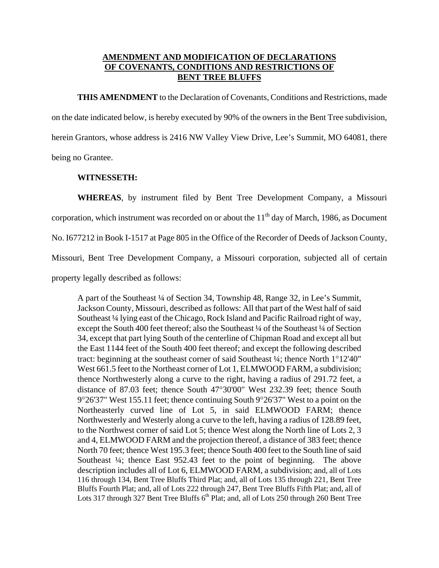## **AMENDMENT AND MODIFICATION OF DECLARATIONS OF COVENANTS, CONDITIONS AND RESTRICTIONS OF BENT TREE BLUFFS**

**THIS AMENDMENT** to the Declaration of Covenants, Conditions and Restrictions, made on the date indicated below, is hereby executed by 90% of the owners in the Bent Tree subdivision, herein Grantors, whose address is 2416 NW Valley View Drive, Lee's Summit, MO 64081, there being no Grantee.

## **WITNESSETH:**

**WHEREAS**, by instrument filed by Bent Tree Development Company, a Missouri corporation, which instrument was recorded on or about the  $11<sup>th</sup>$  day of March, 1986, as Document No. I677212 in Book I-1517 at Page 805 in the Office of the Recorder of Deeds of Jackson County, Missouri, Bent Tree Development Company, a Missouri corporation, subjected all of certain property legally described as follows:

A part of the Southeast ¼ of Section 34, Township 48, Range 32, in Lee's Summit, Jackson County, Missouri, described as follows: All that part of the West half of said Southeast ¼ lying east of the Chicago, Rock Island and Pacific Railroad right of way, except the South 400 feet thereof; also the Southeast ¼ of the Southeast ¼ of Section 34, except that part lying South of the centerline of Chipman Road and except all but the East 1144 feet of the South 400 feet thereof; and except the following described tract: beginning at the southeast corner of said Southeast ¼; thence North 1°12'40" West 661.5 feet to the Northeast corner of Lot 1, ELMWOOD FARM, a subdivision; thence Northwesterly along a curve to the right, having a radius of 291.72 feet, a distance of 87.03 feet; thence South 47°30'00" West 232.39 feet; thence South 9°26'37" West 155.11 feet; thence continuing South 9°26'37" West to a point on the Northeasterly curved line of Lot 5, in said ELMWOOD FARM; thence Northwesterly and Westerly along a curve to the left, having a radius of 128.89 feet, to the Northwest corner of said Lot 5; thence West along the North line of Lots 2, 3 and 4, ELMWOOD FARM and the projection thereof, a distance of 383 feet; thence North 70 feet; thence West 195.3 feet; thence South 400 feet to the South line of said Southeast ¼; thence East 952.43 feet to the point of beginning. The above description includes all of Lot 6, ELMWOOD FARM, a subdivision; and, all of Lots 116 through 134, Bent Tree Bluffs Third Plat; and, all of Lots 135 through 221, Bent Tree Bluffs Fourth Plat; and, all of Lots 222 through 247, Bent Tree Bluffs Fifth Plat; and, all of Lots 317 through 327 Bent Tree Bluffs  $6<sup>th</sup>$  Plat; and, all of Lots 250 through 260 Bent Tree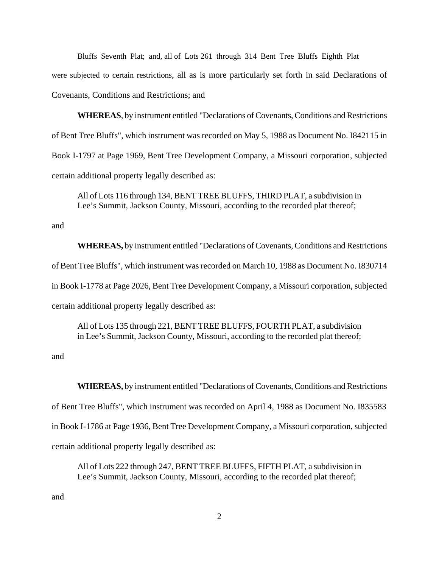Bluffs Seventh Plat; and, all of Lots 261 through 314 Bent Tree Bluffs Eighth Plat were subjected to certain restrictions, all as is more particularly set forth in said Declarations of Covenants, Conditions and Restrictions; and

**WHEREAS**, by instrument entitled "Declarations of Covenants, Conditions and Restrictions of Bent Tree Bluffs", which instrument was recorded on May 5, 1988 as Document No. I842115 in Book I-1797 at Page 1969, Bent Tree Development Company, a Missouri corporation, subjected certain additional property legally described as:

All of Lots 116 through 134, BENT TREE BLUFFS, THIRD PLAT, a subdivision in Lee's Summit, Jackson County, Missouri, according to the recorded plat thereof;

and

**WHEREAS,** by instrument entitled "Declarations of Covenants, Conditions and Restrictions of Bent Tree Bluffs", which instrument was recorded on March 10, 1988 as Document No. I830714 in Book I-1778 at Page 2026, Bent Tree Development Company, a Missouri corporation, subjected certain additional property legally described as:

All of Lots 135 through 221, BENT TREE BLUFFS, FOURTH PLAT, a subdivision in Lee's Summit, Jackson County, Missouri, according to the recorded plat thereof;

and

**WHEREAS,** by instrument entitled "Declarations of Covenants, Conditions and Restrictions of Bent Tree Bluffs", which instrument was recorded on April 4, 1988 as Document No. I835583 in Book I-1786 at Page 1936, Bent Tree Development Company, a Missouri corporation, subjected certain additional property legally described as:

All of Lots 222 through 247, BENT TREE BLUFFS, FIFTH PLAT, a subdivision in Lee's Summit, Jackson County, Missouri, according to the recorded plat thereof;

and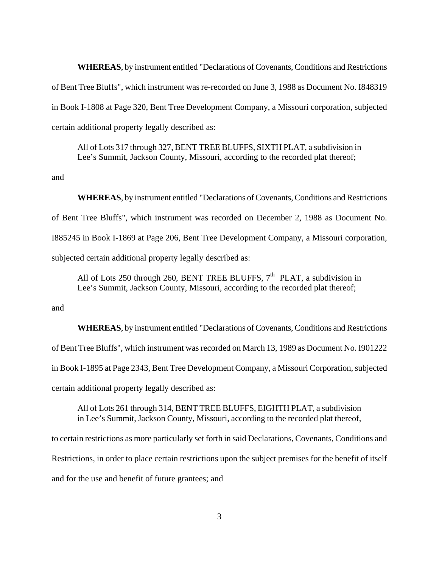**WHEREAS**, by instrument entitled "Declarations of Covenants, Conditions and Restrictions of Bent Tree Bluffs", which instrument was re-recorded on June 3, 1988 as Document No. I848319 in Book I-1808 at Page 320, Bent Tree Development Company, a Missouri corporation, subjected certain additional property legally described as:

All of Lots 317 through 327, BENT TREE BLUFFS, SIXTH PLAT, a subdivision in Lee's Summit, Jackson County, Missouri, according to the recorded plat thereof;

and

**WHEREAS**, by instrument entitled "Declarations of Covenants, Conditions and Restrictions of Bent Tree Bluffs", which instrument was recorded on December 2, 1988 as Document No. I885245 in Book I-1869 at Page 206, Bent Tree Development Company, a Missouri corporation, subjected certain additional property legally described as:

All of Lots 250 through 260, BENT TREE BLUFFS,  $7<sup>th</sup>$  PLAT, a subdivision in Lee's Summit, Jackson County, Missouri, according to the recorded plat thereof;

and

**WHEREAS**, by instrument entitled "Declarations of Covenants, Conditions and Restrictions of Bent Tree Bluffs", which instrument was recorded on March 13, 1989 as Document No. I901222 in Book I-1895 at Page 2343, Bent Tree Development Company, a Missouri Corporation, subjected certain additional property legally described as:

All of Lots 261 through 314, BENT TREE BLUFFS, EIGHTH PLAT, a subdivision in Lee's Summit, Jackson County, Missouri, according to the recorded plat thereof,

to certain restrictions as more particularly set forth in said Declarations, Covenants, Conditions and Restrictions, in order to place certain restrictions upon the subject premises for the benefit of itself and for the use and benefit of future grantees; and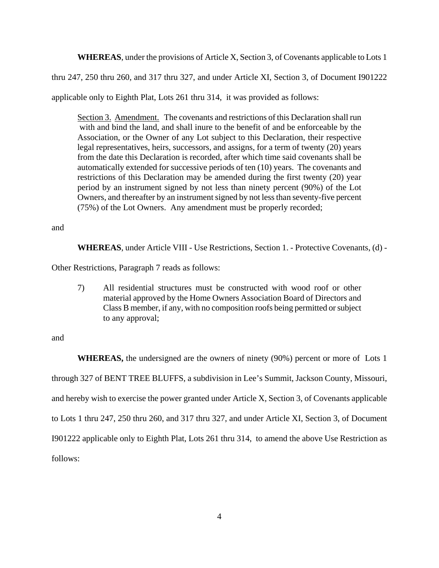**WHEREAS**, under the provisions of Article X, Section 3, of Covenants applicable to Lots 1

thru 247, 250 thru 260, and 317 thru 327, and under Article XI, Section 3, of Document I901222

applicable only to Eighth Plat, Lots 261 thru 314, it was provided as follows:

Section 3. Amendment. The covenants and restrictions of this Declaration shall run with and bind the land, and shall inure to the benefit of and be enforceable by the Association, or the Owner of any Lot subject to this Declaration, their respective legal representatives, heirs, successors, and assigns, for a term of twenty (20) years from the date this Declaration is recorded, after which time said covenants shall be automatically extended for successive periods of ten (10) years. The covenants and restrictions of this Declaration may be amended during the first twenty (20) year period by an instrument signed by not less than ninety percent (90%) of the Lot Owners, and thereafter by an instrument signed by not less than seventy-five percent (75%) of the Lot Owners. Any amendment must be properly recorded;

and

**WHEREAS**, under Article VIII - Use Restrictions, Section 1. - Protective Covenants, (d) -

Other Restrictions, Paragraph 7 reads as follows:

7) All residential structures must be constructed with wood roof or other material approved by the Home Owners Association Board of Directors and Class B member, if any, with no composition roofs being permitted or subject to any approval;

and

**WHEREAS,** the undersigned are the owners of ninety (90%) percent or more of Lots 1 through 327 of BENT TREE BLUFFS, a subdivision in Lee's Summit, Jackson County, Missouri, and hereby wish to exercise the power granted under Article X, Section 3, of Covenants applicable to Lots 1 thru 247, 250 thru 260, and 317 thru 327, and under Article XI, Section 3, of Document I901222 applicable only to Eighth Plat, Lots 261 thru 314, to amend the above Use Restriction as follows: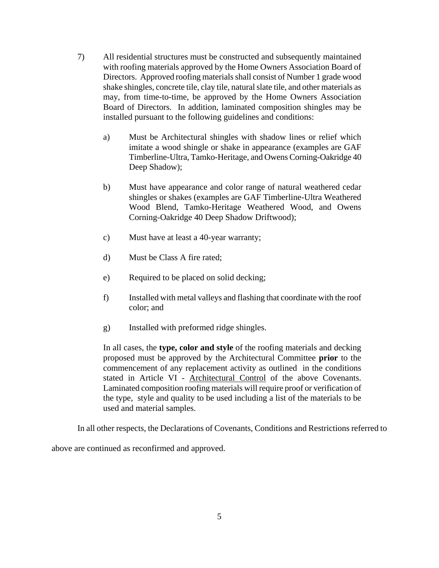- 7) All residential structures must be constructed and subsequently maintained with roofing materials approved by the Home Owners Association Board of Directors. Approved roofing materials shall consist of Number 1 grade wood shake shingles, concrete tile, clay tile, natural slate tile, and other materials as may, from time-to-time, be approved by the Home Owners Association Board of Directors. In addition, laminated composition shingles may be installed pursuant to the following guidelines and conditions:
	- a) Must be Architectural shingles with shadow lines or relief which imitate a wood shingle or shake in appearance (examples are GAF Timberline-Ultra, Tamko-Heritage, and Owens Corning-Oakridge 40 Deep Shadow);
	- b) Must have appearance and color range of natural weathered cedar shingles or shakes (examples are GAF Timberline-Ultra Weathered Wood Blend, Tamko-Heritage Weathered Wood, and Owens Corning-Oakridge 40 Deep Shadow Driftwood);
	- c) Must have at least a 40-year warranty;
	- d) Must be Class A fire rated;
	- e) Required to be placed on solid decking;
	- f) Installed with metal valleys and flashing that coordinate with the roof color; and
	- g) Installed with preformed ridge shingles.

In all cases, the **type, color and style** of the roofing materials and decking proposed must be approved by the Architectural Committee **prior** to the commencement of any replacement activity as outlined in the conditions stated in Article VI - Architectural Control of the above Covenants. Laminated composition roofing materials will require proof or verification of the type, style and quality to be used including a list of the materials to be used and material samples.

In all other respects, the Declarations of Covenants, Conditions and Restrictions referred to

above are continued as reconfirmed and approved.